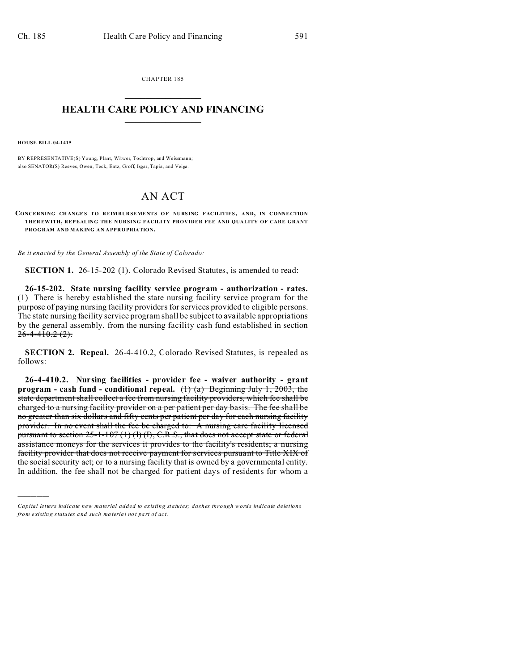CHAPTER 185  $\overline{\phantom{a}}$  , where  $\overline{\phantom{a}}$ 

## **HEALTH CARE POLICY AND FINANCING**  $\_$   $\_$   $\_$   $\_$   $\_$   $\_$   $\_$   $\_$

**HOUSE BILL 04-1415**

)))))

BY REPRESENTATIVE(S) Young, Plant, Witwer, Tochtrop, and Weissmann; also SENATOR(S) Reeves, Owen, Teck, Entz, Groff, Isgar, Tapia, and Veiga.

## AN ACT

**CONCERNING CH ANGE S TO R EIM BURSEME NTS O F NURS ING FACILITIES, AND, IN CONNECTION THER EWITH, REPEALING THE NURSING FACILITY PROVIDER FEE AND QUALITY OF CARE GRANT PROGRAM AND MAKING AN APPROPRIATION.**

*Be it enacted by the General Assembly of the State of Colorado:*

**SECTION 1.** 26-15-202 (1), Colorado Revised Statutes, is amended to read:

**26-15-202. State nursing facility service program - authorization - rates.** (1) There is hereby established the state nursing facility service program for the purpose of paying nursing facility providers for services provided to eligible persons. The state nursing facility service program shall be subject to available appropriations by the general assembly. from the nursing facility cash fund established in section  $26 - 4 - 410.2(2)$ .

**SECTION 2. Repeal.** 26-4-410.2, Colorado Revised Statutes, is repealed as follows:

**26-4-410.2. Nursing facilities - provider fee - waiver authority - grant program - cash fund - conditional repeal.** (1) (a) Beginning July 1, 2003, the state department shall collect a fee from nursing facility providers, which fee shall be charged to a nursing facility provider on a per patient per day basis. The fee shall be no greater than six dollars and fifty cents per patient per day for each nursing facility provider. In no event shall the fee be charged to: A nursing care facility licensed pursuant to section  $25$ -1-107 (1) (1), C.R.S., that does not accept state or federal assistance moneys for the services it provides to the facility's residents; a nursing facility provider that does not receive payment for services pursuant to Title XIX of the social security act; or to a nursing facility that is owned by a governmental entity. In addition, the fee shall not be charged for patient days of residents for whom a

*Capital letters indicate new material added to existing statutes; dashes through words indicate deletions from e xistin g statu tes a nd such ma teria l no t pa rt of ac t.*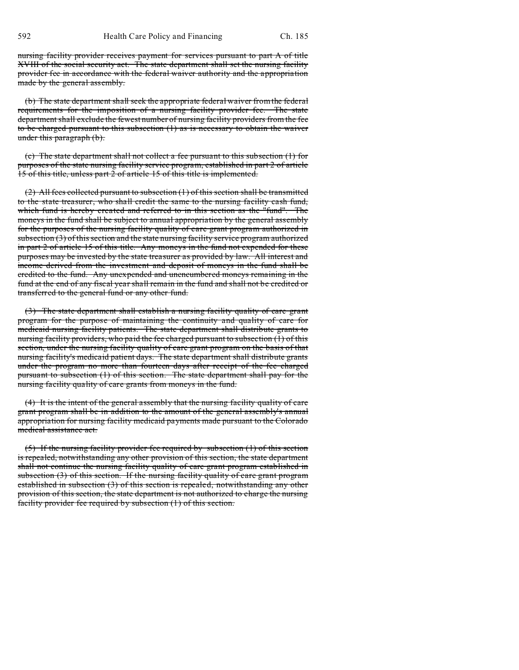nursing facility provider receives payment for services pursuant to part A of title XVIII of the social security act. The state department shall set the nursing facility provider fee in accordance with the federal waiver authority and the appropriation made by the general assembly.

(b) The state department shall seek the appropriate federal waiver from the federal requirements for the imposition of a nursing facility provider fee. The state department shall exclude the fewest number of nursing facility providers from the fee to be charged pursuant to this subsection (1) as is necessary to obtain the waiver under this paragraph (b).

(c) The state department shall not collect a fee pursuant to this subsection (1) for purposes of the state nursing facility service program, established in part 2 of article 15 of this title, unless part 2 of article 15 of this title is implemented.

 $(2)$  All fees collected pursuant to subsection  $(1)$  of this section shall be transmitted to the state treasurer, who shall credit the same to the nursing facility cash fund, which fund is hereby created and referred to in this section as the "fund". The moneys in the fund shall be subject to annual appropriation by the general assembly for the purposes of the nursing facility quality of care grant program authorized in subsection (3) of this section and the state nursing facility service program authorized in part 2 of article 15 of this title. Any moneys in the fund not expended for these purposes may be invested by the state treasurer as provided by law. All interest and income derived from the investment and deposit of moneys in the fund shall be credited to the fund. Any unexpended and unencumbered moneys remaining in the fund at the end of any fiscal year shall remain in the fund and shall not be credited or transferred to the general fund or any other fund.

(3) The state department shall establish a nursing facility quality of care grant program for the purpose of maintaining the continuity and quality of care for medicaid nursing facility patients. The state department shall distribute grants to nursing facility providers, who paid the fee charged pursuant to subsection (1) of this section, under the nursing facility quality of care grant program on the basis of that nursing facility's medicaid patient days. The state department shall distribute grants under the program no more than fourteen days after receipt of the fee charged pursuant to subsection (1) of this section. The state department shall pay for the nursing facility quality of care grants from moneys in the fund.

(4) It is the intent of the general assembly that the nursing facility quality of care grant program shall be in addition to the amount of the general assembly's annual appropriation for nursing facility medicaid payments made pursuant to the Colorado medical assistance act.

(5) If the nursing facility provider fee required by subsection (1) of this section is repealed, notwithstanding any other provision of this section, the state department shall not continue the nursing facility quality of care grant program established in subsection (3) of this section. If the nursing facility quality of care grant program established in subsection (3) of this section is repealed, notwithstanding any other provision of this section, the state department is not authorized to charge the nursing facility provider fee required by subsection (1) of this section.